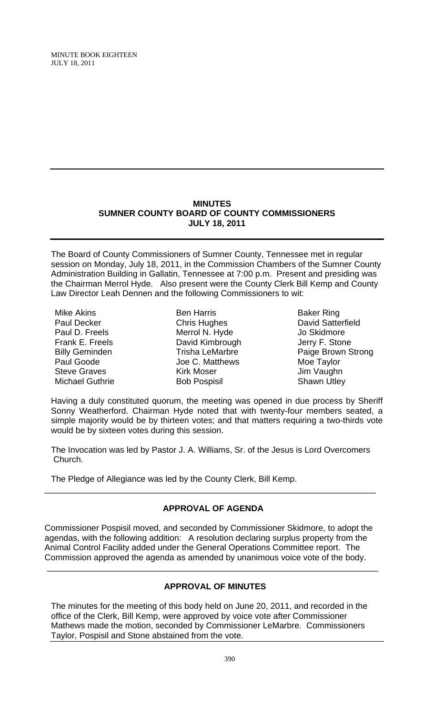# **MINUTES SUMNER COUNTY BOARD OF COUNTY COMMISSIONERS JULY 18, 2011**

The Board of County Commissioners of Sumner County, Tennessee met in regular session on Monday, July 18, 2011, in the Commission Chambers of the Sumner County Administration Building in Gallatin, Tennessee at 7:00 p.m. Present and presiding was the Chairman Merrol Hyde. Also present were the County Clerk Bill Kemp and County Law Director Leah Dennen and the following Commissioners to wit:

Mike Akins Paul Decker Paul D. Freels Frank E. Freels Billy Geminden Paul Goode Steve Graves Michael Guthrie

Ben Harris Chris Hughes Merrol N. Hyde David Kimbrough Trisha LeMarbre Joe C. Matthews Kirk Moser Bob Pospisil

Baker Ring David Satterfield Jo Skidmore Jerry F. Stone Paige Brown Strong Moe Taylor Jim Vaughn Shawn Utley

Having a duly constituted quorum, the meeting was opened in due process by Sheriff Sonny Weatherford. Chairman Hyde noted that with twenty-four members seated, a simple majority would be by thirteen votes; and that matters requiring a two-thirds vote would be by sixteen votes during this session.

The Invocation was led by Pastor J. A. Williams, Sr. of the Jesus is Lord Overcomers Church.

The Pledge of Allegiance was led by the County Clerk, Bill Kemp.

# **APPROVAL OF AGENDA**

\_\_\_\_\_\_\_\_\_\_\_\_\_\_\_\_\_\_\_\_\_\_\_\_\_\_\_\_\_\_\_\_\_\_\_\_\_\_\_\_\_\_\_\_\_\_\_\_\_\_\_\_\_\_\_\_\_\_\_\_\_\_\_\_\_\_\_\_\_\_

Commissioner Pospisil moved, and seconded by Commissioner Skidmore, to adopt the agendas, with the following addition: A resolution declaring surplus property from the Animal Control Facility added under the General Operations Committee report. The Commission approved the agenda as amended by unanimous voice vote of the body.

# **APPROVAL OF MINUTES**

\_\_\_\_\_\_\_\_\_\_\_\_\_\_\_\_\_\_\_\_\_\_\_\_\_\_\_\_\_\_\_\_\_\_\_\_\_\_\_\_\_\_\_\_\_\_\_\_\_\_\_\_\_\_\_\_\_\_\_\_\_\_\_\_\_\_\_\_\_\_

The minutes for the meeting of this body held on June 20, 2011, and recorded in the office of the Clerk, Bill Kemp, were approved by voice vote after Commissioner Mathews made the motion, seconded by Commissioner LeMarbre. Commissioners Taylor, Pospisil and Stone abstained from the vote.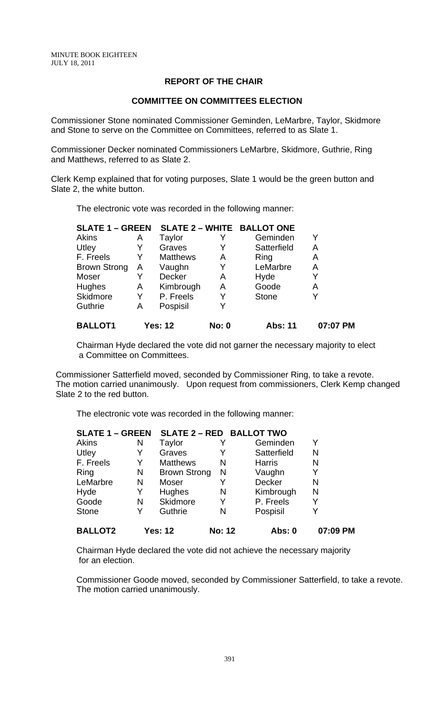# **REPORT OF THE CHAIR**

### **COMMITTEE ON COMMITTEES ELECTION**

Commissioner Stone nominated Commissioner Geminden, LeMarbre, Taylor, Skidmore and Stone to serve on the Committee on Committees, referred to as Slate 1.

Commissioner Decker nominated Commissioners LeMarbre, Skidmore, Guthrie, Ring and Matthews, referred to as Slate 2.

Clerk Kemp explained that for voting purposes, Slate 1 would be the green button and Slate 2, the white button.

The electronic vote was recorded in the following manner:

| <b>SLATE 1 - GREEN</b> |   | <b>SLATE 2 - WHITE BALLOT ONE</b> |              |                |          |
|------------------------|---|-----------------------------------|--------------|----------------|----------|
| Akins                  | Α | <b>Taylor</b>                     |              | Geminden       |          |
| Utley                  | Y | Graves                            | Y            | Satterfield    | Α        |
| F. Freels              | Y | <b>Matthews</b>                   | A            | Ring           | А        |
| <b>Brown Strong</b>    | A | Vaughn                            | Y            | LeMarbre       | Α        |
| Moser                  | Y | Decker                            | A            | Hyde           | Y        |
| <b>Hughes</b>          | Α | Kimbrough                         | A            | Goode          | Α        |
| <b>Skidmore</b>        | Y | P. Freels                         | Y            | <b>Stone</b>   | Y        |
| <b>Guthrie</b>         | Α | Pospisil                          |              |                |          |
| <b>BALLOT1</b>         |   | <b>Yes: 12</b>                    | <b>No: 0</b> | <b>Abs: 11</b> | 07:07 PM |

Chairman Hyde declared the vote did not garner the necessary majority to elect a Committee on Committees.

 Commissioner Satterfield moved, seconded by Commissioner Ring, to take a revote. The motion carried unanimously. Upon request from commissioners, Clerk Kemp changed Slate 2 to the red button.

The electronic vote was recorded in the following manner:

| <b>SLATE 1 - GREEN</b> |   | SLATE 2 - RED BALLOT TWO |               |               |          |
|------------------------|---|--------------------------|---------------|---------------|----------|
| <b>Akins</b>           | N | Taylor                   |               | Geminden      | Y        |
| Utley                  | Y | Graves                   |               | Satterfield   | N        |
| F. Freels              | Y | <b>Matthews</b>          | N             | <b>Harris</b> | N        |
| Ring                   | N | <b>Brown Strong</b>      | N             | Vaughn        | Y        |
| LeMarbre               | N | Moser                    |               | <b>Decker</b> | N        |
| Hyde                   | Y | Hughes                   | N             | Kimbrough     | N        |
| Goode                  | N | Skidmore                 | Y             | P. Freels     | Y        |
| <b>Stone</b>           | Y | Guthrie                  | Ν             | Pospisil      | Y        |
| <b>BALLOT2</b>         |   | <b>Yes: 12</b>           | <b>No: 12</b> | Abs: 0        | 07:09 PM |

Chairman Hyde declared the vote did not achieve the necessary majority for an election.

Commissioner Goode moved, seconded by Commissioner Satterfield, to take a revote. The motion carried unanimously.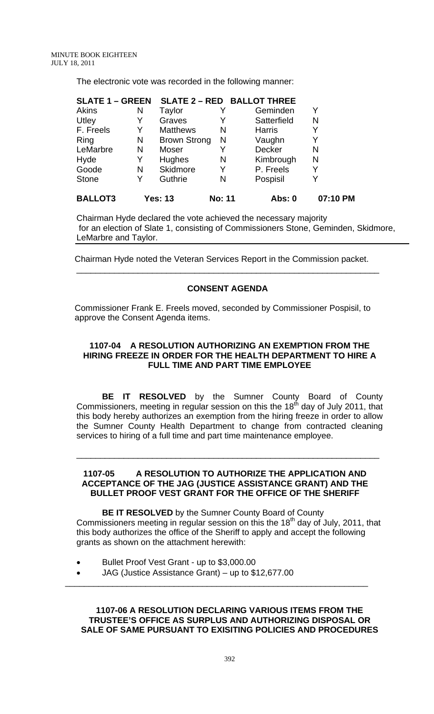The electronic vote was recorded in the following manner:

| <b>SLATE 1 - GREEN</b> |   | <b>SLATE 2 - RED BALLOT THREE</b> |               |               |          |
|------------------------|---|-----------------------------------|---------------|---------------|----------|
| <b>Akins</b>           | N | Taylor                            |               | Geminden      | Y        |
| Utley                  | Y | Graves                            | Y             | Satterfield   | N        |
| F. Freels              | Y | <b>Matthews</b>                   | N             | <b>Harris</b> | Y        |
| Ring                   | N | <b>Brown Strong</b>               | N             | Vaughn        | Y        |
| LeMarbre               | N | Moser                             |               | Decker        | N        |
| Hyde                   | Y | Hughes                            | N             | Kimbrough     | N        |
| Goode                  | N | Skidmore                          | Y             | P. Freels     | Y        |
| <b>Stone</b>           | Y | Guthrie                           | N             | Pospisil      | Y        |
| <b>BALLOT3</b>         |   | <b>Yes: 13</b>                    | <b>No: 11</b> | Abs: 0        | 07:10 PM |

Chairman Hyde declared the vote achieved the necessary majority for an election of Slate 1, consisting of Commissioners Stone, Geminden, Skidmore, LeMarbre and Taylor.

Chairman Hyde noted the Veteran Services Report in the Commission packet.

# **CONSENT AGENDA**

\_\_\_\_\_\_\_\_\_\_\_\_\_\_\_\_\_\_\_\_\_\_\_\_\_\_\_\_\_\_\_\_\_\_\_\_\_\_\_\_\_\_\_\_\_\_\_\_\_\_\_\_\_\_\_\_\_\_\_\_\_\_\_\_

Commissioner Frank E. Freels moved, seconded by Commissioner Pospisil, to approve the Consent Agenda items.

#### **1107-04 A RESOLUTION AUTHORIZING AN EXEMPTION FROM THE HIRING FREEZE IN ORDER FOR THE HEALTH DEPARTMENT TO HIRE A FULL TIME AND PART TIME EMPLOYEE**

**BE IT RESOLVED** by the Sumner County Board of County Commissioners, meeting in regular session on this the 18<sup>th</sup> day of July 2011, that this body hereby authorizes an exemption from the hiring freeze in order to allow the Sumner County Health Department to change from contracted cleaning services to hiring of a full time and part time maintenance employee.

\_\_\_\_\_\_\_\_\_\_\_\_\_\_\_\_\_\_\_\_\_\_\_\_\_\_\_\_\_\_\_\_\_\_\_\_\_\_\_\_\_\_\_\_\_\_\_\_\_\_\_\_\_\_\_\_\_\_\_\_\_\_\_\_

#### **1107-05 A RESOLUTION TO AUTHORIZE THE APPLICATION AND ACCEPTANCE OF THE JAG (JUSTICE ASSISTANCE GRANT) AND THE BULLET PROOF VEST GRANT FOR THE OFFICE OF THE SHERIFF**

**BE IT RESOLVED** by the Sumner County Board of County Commissioners meeting in regular session on this the  $18<sup>th</sup>$  day of July, 2011, that this body authorizes the office of the Sheriff to apply and accept the following grants as shown on the attachment herewith:

- Bullet Proof Vest Grant up to \$3,000.00
- JAG (Justice Assistance Grant) up to \$12,677.00

 **1107-06 A RESOLUTION DECLARING VARIOUS ITEMS FROM THE TRUSTEE'S OFFICE AS SURPLUS AND AUTHORIZING DISPOSAL OR SALE OF SAME PURSUANT TO EXISITING POLICIES AND PROCEDURES**

 $\frac{1}{\sqrt{2}}$  ,  $\frac{1}{\sqrt{2}}$  ,  $\frac{1}{\sqrt{2}}$  ,  $\frac{1}{\sqrt{2}}$  ,  $\frac{1}{\sqrt{2}}$  ,  $\frac{1}{\sqrt{2}}$  ,  $\frac{1}{\sqrt{2}}$  ,  $\frac{1}{\sqrt{2}}$  ,  $\frac{1}{\sqrt{2}}$  ,  $\frac{1}{\sqrt{2}}$  ,  $\frac{1}{\sqrt{2}}$  ,  $\frac{1}{\sqrt{2}}$  ,  $\frac{1}{\sqrt{2}}$  ,  $\frac{1}{\sqrt{2}}$  ,  $\frac{1}{\sqrt{2}}$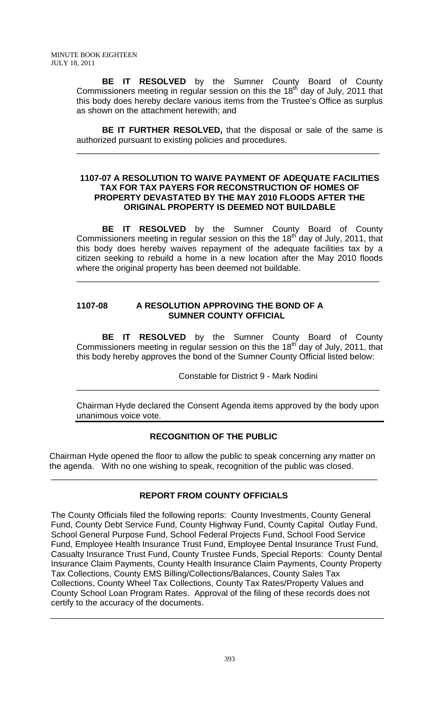**BE IT RESOLVED** by the Sumner County Board of County Commissioners meeting in regular session on this the  $18<sup>th</sup>$  day of July, 2011 that this body does hereby declare various items from the Trustee's Office as surplus as shown on the attachment herewith; and

**BE IT FURTHER RESOLVED,** that the disposal or sale of the same is authorized pursuant to existing policies and procedures.

\_\_\_\_\_\_\_\_\_\_\_\_\_\_\_\_\_\_\_\_\_\_\_\_\_\_\_\_\_\_\_\_\_\_\_\_\_\_\_\_\_\_\_\_\_\_\_\_\_\_\_\_\_\_\_\_\_\_\_\_\_\_\_\_

#### **1107-07 A RESOLUTION TO WAIVE PAYMENT OF ADEQUATE FACILITIES TAX FOR TAX PAYERS FOR RECONSTRUCTION OF HOMES OF PROPERTY DEVASTATED BY THE MAY 2010 FLOODS AFTER THE ORIGINAL PROPERTY IS DEEMED NOT BUILDABLE**

**BE IT RESOLVED** by the Sumner County Board of County Commissioners meeting in regular session on this the  $18<sup>th</sup>$  day of July, 2011, that this body does hereby waives repayment of the adequate facilities tax by a citizen seeking to rebuild a home in a new location after the May 2010 floods where the original property has been deemed not buildable.

\_\_\_\_\_\_\_\_\_\_\_\_\_\_\_\_\_\_\_\_\_\_\_\_\_\_\_\_\_\_\_\_\_\_\_\_\_\_\_\_\_\_\_\_\_\_\_\_\_\_\_\_\_\_\_\_\_\_\_\_\_\_\_\_

# **1107-08 A RESOLUTION APPROVING THE BOND OF A SUMNER COUNTY OFFICIAL**

 **BE IT RESOLVED** by the Sumner County Board of County Commissioners meeting in regular session on this the 18<sup>th</sup> day of July, 2011, that this body hereby approves the bond of the Sumner County Official listed below:

Constable for District 9 - Mark Nodini

Chairman Hyde declared the Consent Agenda items approved by the body upon unanimous voice vote.

\_\_\_\_\_\_\_\_\_\_\_\_\_\_\_\_\_\_\_\_\_\_\_\_\_\_\_\_\_\_\_\_\_\_\_\_\_\_\_\_\_\_\_\_\_\_\_\_\_\_\_\_\_\_\_\_\_\_\_\_\_\_\_\_

# **RECOGNITION OF THE PUBLIC**

 Chairman Hyde opened the floor to allow the public to speak concerning any matter on the agenda. With no one wishing to speak, recognition of the public was closed.

# **REPORT FROM COUNTY OFFICIALS**

\_\_\_\_\_\_\_\_\_\_\_\_\_\_\_\_\_\_\_\_\_\_\_\_\_\_\_\_\_\_\_\_\_\_\_\_\_\_\_\_\_\_\_\_\_\_\_\_\_\_\_\_\_\_\_\_\_\_\_\_\_\_\_\_\_\_\_\_\_

The County Officials filed the following reports: County Investments, County General Fund, County Debt Service Fund, County Highway Fund, County Capital Outlay Fund, School General Purpose Fund, School Federal Projects Fund, School Food Service Fund, Employee Health Insurance Trust Fund, Employee Dental Insurance Trust Fund, Casualty Insurance Trust Fund, County Trustee Funds, Special Reports: County Dental Insurance Claim Payments, County Health Insurance Claim Payments, County Property Tax Collections, County EMS Billing/Collections/Balances, County Sales Tax Collections, County Wheel Tax Collections, County Tax Rates/Property Values and County School Loan Program Rates. Approval of the filing of these records does not certify to the accuracy of the documents.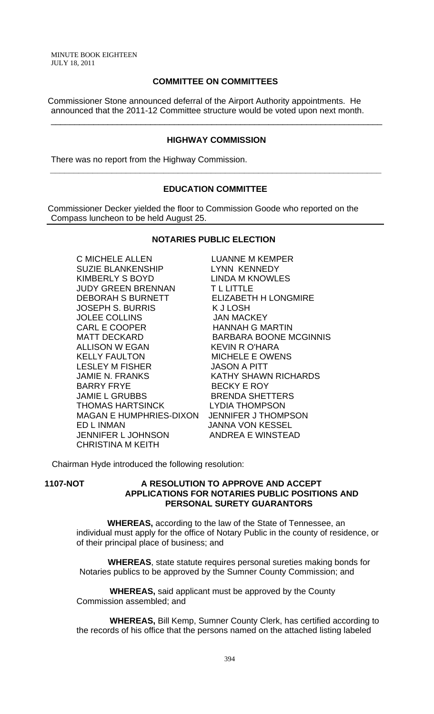### **COMMITTEE ON COMMITTEES**

Commissioner Stone announced deferral of the Airport Authority appointments. He announced that the 2011-12 Committee structure would be voted upon next month.

#### **HIGHWAY COMMISSION**

\_\_\_\_\_\_\_\_\_\_\_\_\_\_\_\_\_\_\_\_\_\_\_\_\_\_\_\_\_\_\_\_\_\_\_\_\_\_\_\_\_\_\_\_\_\_\_\_\_\_\_\_\_\_\_\_\_\_\_\_\_\_\_\_\_\_\_\_\_\_

There was no report from the Highway Commission.

## **EDUCATION COMMITTEE**

 **\_\_\_\_\_\_\_\_\_\_\_\_\_\_\_\_\_\_\_\_\_\_\_\_\_\_\_\_\_\_\_\_\_\_\_\_\_\_\_\_\_\_\_\_\_\_\_\_\_\_\_\_\_\_\_\_\_\_\_\_\_\_\_\_\_\_\_\_\_\_** 

Commissioner Decker yielded the floor to Commission Goode who reported on the Compass luncheon to be held August 25.

#### **NOTARIES PUBLIC ELECTION**

C MICHELE ALLEN LUANNE M KEMPER SUZIE BLANKENSHIP LYNN KENNEDY KIMBERLY S BOYD LINDA M KNOWLES JUDY GREEN BRENNAN T L LITTLE DEBORAH S BURNETT ELIZABETH H LONGMIRE JOSEPH S. BURRIS K J LOSH JOLEE COLLINS JAN MACKEY CARL E COOPER HANNAH G MARTIN ALLISON W EGAN KEVIN R O'HARA KELLY FAULTON MICHELE E OWENS LESLEY M FISHER JASON A PITT JAMIE N. FRANKS KATHY SHAWN RICHARDS BARRY FRYE BECKY E ROY JAMIE L GRUBBS BRENDA SHETTERS THOMAS HARTSINCK MAGAN E HUMPHRIES-DIXON JENNIFER J THOMPSON ED L INMAN JANNA VON KESSEL JENNIFER L JOHNSON ANDREA E WINSTEAD CHRISTINA M KEITH

MATT DECKARD BARBARA BOONE MCGINNIS

Chairman Hyde introduced the following resolution:

#### **1107-NOT A RESOLUTION TO APPROVE AND ACCEPT APPLICATIONS FOR NOTARIES PUBLIC POSITIONS AND PERSONAL SURETY GUARANTORS**

 **WHEREAS,** according to the law of the State of Tennessee, an individual must apply for the office of Notary Public in the county of residence, or of their principal place of business; and

 **WHEREAS**, state statute requires personal sureties making bonds for Notaries publics to be approved by the Sumner County Commission; and

 **WHEREAS,** said applicant must be approved by the County Commission assembled; and

 **WHEREAS,** Bill Kemp, Sumner County Clerk, has certified according to the records of his office that the persons named on the attached listing labeled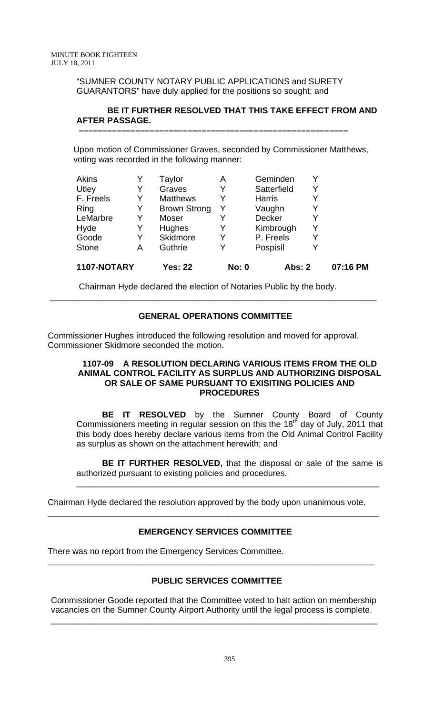"SUMNER COUNTY NOTARY PUBLIC APPLICATIONS and SURETY GUARANTORS" have duly applied for the positions so sought; and

 **–––––––––––––––––––––––––––––––––––––––––––––––––––––––––**

# **BE IT FURTHER RESOLVED THAT THIS TAKE EFFECT FROM AND AFTER PASSAGE.**

Upon motion of Commissioner Graves, seconded by Commissioner Matthews, voting was recorded in the following manner:

| 1107-NOTARY  |   | <b>Yes: 22</b>      | <b>No: 0</b> | <b>Abs: 2</b> |   | 07:16 PM |
|--------------|---|---------------------|--------------|---------------|---|----------|
| <b>Stone</b> | Α | Guthrie             | Y            | Pospisil      |   |          |
| Goode        | Y | Skidmore            | Y            | P. Freels     | Y |          |
| Hyde         | Y | Hughes              | Y            | Kimbrough     | Y |          |
| LeMarbre     | Y | Moser               |              | Decker        |   |          |
| Ring         | Y | <b>Brown Strong</b> |              | Vaughn        |   |          |
| F. Freels    | Y | <b>Matthews</b>     |              | <b>Harris</b> |   |          |
| Utley        | Y | Graves              | Y            | Satterfield   | Y |          |
| <b>Akins</b> |   | Taylor              | Α            | Geminden      |   |          |

Chairman Hyde declared the election of Notaries Public by the body.

#### **GENERAL OPERATIONS COMMITTEE**

\_\_\_\_\_\_\_\_\_\_\_\_\_\_\_\_\_\_\_\_\_\_\_\_\_\_\_\_\_\_\_\_\_\_\_\_\_\_\_\_\_\_\_\_\_\_\_\_\_\_\_\_\_\_\_\_\_\_\_\_\_\_\_\_\_\_\_\_\_

Commissioner Hughes introduced the following resolution and moved for approval. Commissioner Skidmore seconded the motion.

#### **1107-09 A RESOLUTION DECLARING VARIOUS ITEMS FROM THE OLD ANIMAL CONTROL FACILITY AS SURPLUS AND AUTHORIZING DISPOSAL OR SALE OF SAME PURSUANT TO EXISITING POLICIES AND PROCEDURES**

 **BE IT RESOLVED** by the Sumner County Board of County Commissioners meeting in regular session on this the  $18<sup>th</sup>$  day of July, 2011 that this body does hereby declare various items from the Old Animal Control Facility as surplus as shown on the attachment herewith; and

**BE IT FURTHER RESOLVED,** that the disposal or sale of the same is authorized pursuant to existing policies and procedures.

\_\_\_\_\_\_\_\_\_\_\_\_\_\_\_\_\_\_\_\_\_\_\_\_\_\_\_\_\_\_\_\_\_\_\_\_\_\_\_\_\_\_\_\_\_\_\_\_\_\_\_\_\_\_\_\_\_\_\_\_\_\_\_\_

Chairman Hyde declared the resolution approved by the body upon unanimous vote.

# **EMERGENCY SERVICES COMMITTEE**

\_\_\_\_\_\_\_\_\_\_\_\_\_\_\_\_\_\_\_\_\_\_\_\_\_\_\_\_\_\_\_\_\_\_\_\_\_\_\_\_\_\_\_\_\_\_\_\_\_\_\_\_\_\_\_\_\_\_\_\_\_\_\_\_\_\_\_\_\_\_

There was no report from the Emergency Services Committee.

# **PUBLIC SERVICES COMMITTEE**

**\_\_\_\_\_\_\_\_\_\_\_\_\_\_\_\_\_\_\_\_\_\_\_\_\_\_\_\_\_\_\_\_\_\_\_\_\_\_\_\_\_\_\_\_\_\_\_\_\_\_\_\_\_\_\_\_\_\_\_\_\_\_\_\_\_\_\_\_\_** 

Commissioner Goode reported that the Committee voted to halt action on membership vacancies on the Sumner County Airport Authority until the legal process is complete.

\_\_\_\_\_\_\_\_\_\_\_\_\_\_\_\_\_\_\_\_\_\_\_\_\_\_\_\_\_\_\_\_\_\_\_\_\_\_\_\_\_\_\_\_\_\_\_\_\_\_\_\_\_\_\_\_\_\_\_\_\_\_\_\_\_\_\_\_\_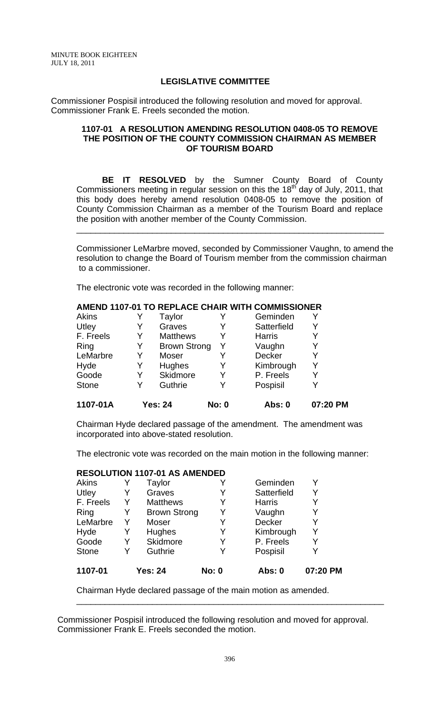#### **LEGISLATIVE COMMITTEE**

Commissioner Pospisil introduced the following resolution and moved for approval. Commissioner Frank E. Freels seconded the motion.

### **1107-01 A RESOLUTION AMENDING RESOLUTION 0408-05 TO REMOVE THE POSITION OF THE COUNTY COMMISSION CHAIRMAN AS MEMBER OF TOURISM BOARD**

**BE IT RESOLVED** by the Sumner County Board of County Commissioners meeting in regular session on this the 18<sup>th</sup> day of July, 2011, that this body does hereby amend resolution 0408-05 to remove the position of County Commission Chairman as a member of the Tourism Board and replace the position with another member of the County Commission.

\_\_\_\_\_\_\_\_\_\_\_\_\_\_\_\_\_\_\_\_\_\_\_\_\_\_\_\_\_\_\_\_\_\_\_\_\_\_\_\_\_\_\_\_\_\_\_\_\_\_\_\_\_\_\_\_\_\_\_\_\_\_\_\_\_

Commissioner LeMarbre moved, seconded by Commissioner Vaughn, to amend the resolution to change the Board of Tourism member from the commission chairman to a commissioner.

The electronic vote was recorded in the following manner:

| 1107-01A     |   | <b>Yes: 24</b>      | <b>No: 0</b> | Abs: 0        | 07:20 PM |
|--------------|---|---------------------|--------------|---------------|----------|
| <b>Stone</b> | Y | Guthrie             | Y            | Pospisil      | Y        |
| Goode        | Y | <b>Skidmore</b>     | Y            | P. Freels     | Y        |
| Hyde         | Y | Hughes              |              | Kimbrough     |          |
| LeMarbre     | Y | Moser               |              | Decker        | Y        |
| Ring         | Y | <b>Brown Strong</b> | Y            | Vaughn        | Y        |
| F. Freels    | Y | <b>Matthews</b>     |              | <b>Harris</b> |          |
| Utley        | Y | Graves              |              | Satterfield   | Y        |
| Akins        |   | Taylor              | Y            | Geminden      |          |
|              |   |                     |              |               |          |

# **AMEND 1107-01 TO REPLACE CHAIR WITH COMMISSIONER**

Chairman Hyde declared passage of the amendment. The amendment was incorporated into above-stated resolution.

The electronic vote was recorded on the main motion in the following manner:

# **RESOLUTION 1107-01 AS AMENDED**

| 1107-01      |   | <b>Yes: 24</b>      | <b>No: 0</b> | Abs: 0        | 07:20 PM |
|--------------|---|---------------------|--------------|---------------|----------|
| <b>Stone</b> | Y | Guthrie             | Y            | Pospisil      |          |
| Goode        | Y | <b>Skidmore</b>     | Y            | P. Freels     | Y        |
| Hyde         | Y | Hughes              | Y            | Kimbrough     | Y        |
| LeMarbre     | Y | Moser               | Y            | Decker        | Y        |
| Ring         | Y | <b>Brown Strong</b> | Y            | Vaughn        | Y        |
| F. Freels    | Y | <b>Matthews</b>     | Y            | <b>Harris</b> |          |
| Utley        | Y | Graves              | Y            | Satterfield   | Y        |
| <b>Akins</b> |   | Taylor              |              | Geminden      | Y        |

Chairman Hyde declared passage of the main motion as amended.

Commissioner Pospisil introduced the following resolution and moved for approval. Commissioner Frank E. Freels seconded the motion.

\_\_\_\_\_\_\_\_\_\_\_\_\_\_\_\_\_\_\_\_\_\_\_\_\_\_\_\_\_\_\_\_\_\_\_\_\_\_\_\_\_\_\_\_\_\_\_\_\_\_\_\_\_\_\_\_\_\_\_\_\_\_\_\_\_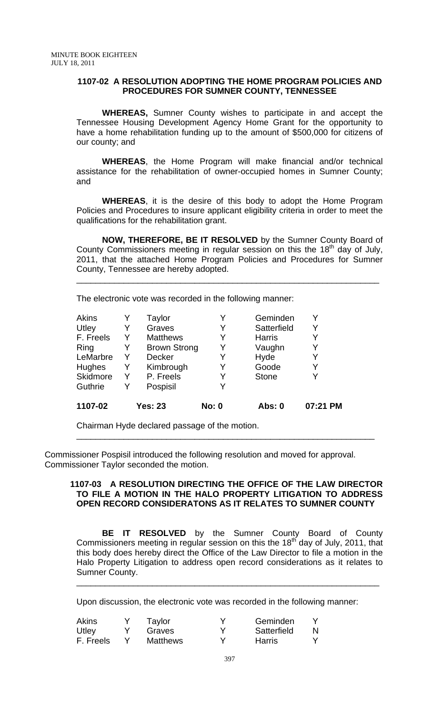#### **1107-02 A RESOLUTION ADOPTING THE HOME PROGRAM POLICIES AND PROCEDURES FOR SUMNER COUNTY, TENNESSEE**

 **WHEREAS,** Sumner County wishes to participate in and accept the Tennessee Housing Development Agency Home Grant for the opportunity to have a home rehabilitation funding up to the amount of \$500,000 for citizens of our county; and

**WHEREAS**, the Home Program will make financial and/or technical assistance for the rehabilitation of owner-occupied homes in Sumner County; and

**WHEREAS**, it is the desire of this body to adopt the Home Program Policies and Procedures to insure applicant eligibility criteria in order to meet the qualifications for the rehabilitation grant.

**NOW, THEREFORE, BE IT RESOLVED** by the Sumner County Board of County Commissioners meeting in regular session on this the  $18<sup>th</sup>$  day of July, 2011, that the attached Home Program Policies and Procedures for Sumner County, Tennessee are hereby adopted.

\_\_\_\_\_\_\_\_\_\_\_\_\_\_\_\_\_\_\_\_\_\_\_\_\_\_\_\_\_\_\_\_\_\_\_\_\_\_\_\_\_\_\_\_\_\_\_\_\_\_\_\_\_\_\_\_\_\_\_\_\_\_\_\_

The electronic vote was recorded in the following manner:

| 1107-02         |   | <b>Yes: 23</b>      | <b>No: 0</b> | Abs: 0        | 07:21 PM |
|-----------------|---|---------------------|--------------|---------------|----------|
| Guthrie         | Y | Pospisil            |              |               |          |
| <b>Skidmore</b> | Y | P. Freels           | Y            | <b>Stone</b>  |          |
| <b>Hughes</b>   | Y | Kimbrough           | Y            | Goode         | Y        |
| LeMarbre        | Y | <b>Decker</b>       | Y            | Hyde          |          |
| Ring            | Y | <b>Brown Strong</b> | Y            | Vaughn        | Y        |
| F. Freels       | Y | <b>Matthews</b>     | Y            | <b>Harris</b> | Y        |
| Utley           | Y | Graves              | Y            | Satterfield   | Y        |
| <b>Akins</b>    |   | Taylor              | Y            | Geminden      | Y        |
|                 |   |                     |              |               |          |

Chairman Hyde declared passage of the motion.

Commissioner Pospisil introduced the following resolution and moved for approval. Commissioner Taylor seconded the motion.

#### **1107-03 A RESOLUTION DIRECTING THE OFFICE OF THE LAW DIRECTOR TO FILE A MOTION IN THE HALO PROPERTY LITIGATION TO ADDRESS OPEN RECORD CONSIDERATONS AS IT RELATES TO SUMNER COUNTY**

\_\_\_\_\_\_\_\_\_\_\_\_\_\_\_\_\_\_\_\_\_\_\_\_\_\_\_\_\_\_\_\_\_\_\_\_\_\_\_\_\_\_\_\_\_\_\_\_\_\_\_\_\_\_\_\_\_\_\_\_\_\_\_

**BE IT RESOLVED** by the Sumner County Board of County Commissioners meeting in regular session on this the  $18<sup>th</sup>$  day of July, 2011, that this body does hereby direct the Office of the Law Director to file a motion in the Halo Property Litigation to address open record considerations as it relates to Sumner County.

\_\_\_\_\_\_\_\_\_\_\_\_\_\_\_\_\_\_\_\_\_\_\_\_\_\_\_\_\_\_\_\_\_\_\_\_\_\_\_\_\_\_\_\_\_\_\_\_\_\_\_\_\_\_\_\_\_\_\_\_\_\_\_\_

Upon discussion, the electronic vote was recorded in the following manner:

| <b>Akins</b> | Taylor          |   | Geminden    |  |
|--------------|-----------------|---|-------------|--|
| Utley        | Graves          |   | Satterfield |  |
| F. Freels    | <b>Matthews</b> | v | Harris      |  |